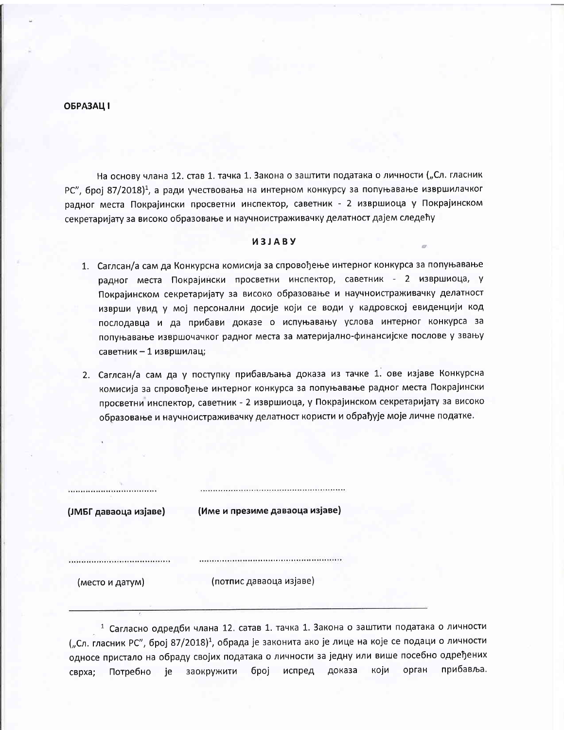## ОБРАЗАЦ І

На основу члана 12. став 1. тачка 1. Закона о заштити података о личности ("Сл. гласник РС", број 87/2018)<sup>1</sup>, а ради учествовања на интерном конкурсу за попуњавање извршилачког радног места Покрајински просветни инспектор, саветник - 2 извршиоца у Покрајинском секретаријату за високо образовање и научноистраживачку делатност дајем следећу

## *<u>U3JABY</u>*

- 1. Саглсан/а сам да Конкурсна комисија за спровођење интерног конкурса за попуњавање радног места Покрајински просветни инспектор, саветник - 2 извршиоца, у Покрајинском секретаријату за високо образовање и научноистраживачку делатност изврши увид у мој персонални досије који се води у кадровској евиденцији код послодавца и да прибави доказе о испуњавању услова интерног конкурса за попуњавање извршочачког радног места за материјално-финансијске послове у звању саветник - 1 извршилац;
- 2. Саглсан/а сам да у поступку прибављања доказа из тачке 1. ове изјаве Конкурсна комисија за спровођење интерног конкурса за попуњавање радног места Покрајински просветни инспектор, саветник - 2 извршиоца, у Покрајинском секретаријату за високо образовање и научноистраживачку делатност користи и обрађује моје личне податке.

| (ЈМБГ даваоца изјаве) | (Име и презиме даваоца изјаве) |  |
|-----------------------|--------------------------------|--|
|                       |                                |  |
| (место и датум)       | (потпис даваоца изјаве)        |  |

1 Сагласно одредби члана 12. сатав 1. тачка 1. Закона о заштити података о личности ("Сл. гласник РС", број 87/2018)<sup>1</sup>, обрада је законита ако је лице на које се подаци о личности односе пристало на обраду својих података о личности за једну или више посебно одређених број који орган прибавља. сврха; Потребно је заокружити доказа испред